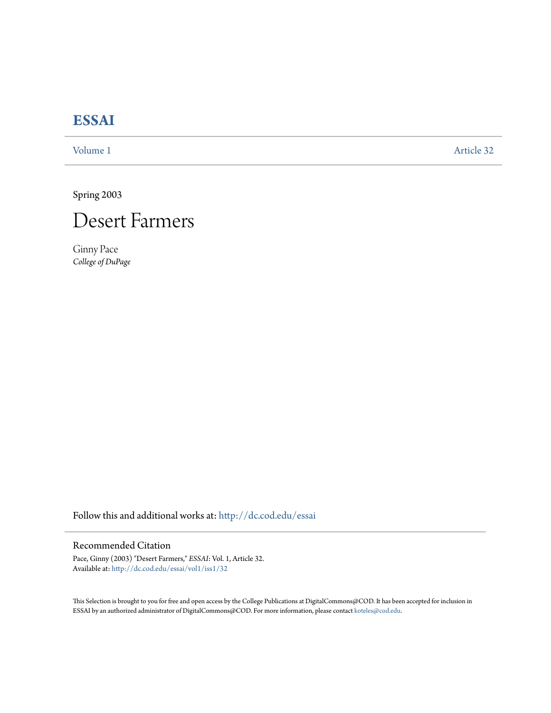# **[ESSAI](http://dc.cod.edu/essai?utm_source=dc.cod.edu%2Fessai%2Fvol1%2Fiss1%2F32&utm_medium=PDF&utm_campaign=PDFCoverPages)**

[Volume 1](http://dc.cod.edu/essai/vol1?utm_source=dc.cod.edu%2Fessai%2Fvol1%2Fiss1%2F32&utm_medium=PDF&utm_campaign=PDFCoverPages) [Article 32](http://dc.cod.edu/essai/vol1/iss1/32?utm_source=dc.cod.edu%2Fessai%2Fvol1%2Fiss1%2F32&utm_medium=PDF&utm_campaign=PDFCoverPages)

Spring 2003



Ginny Pace *College of DuPage*

Follow this and additional works at: [http://dc.cod.edu/essai](http://dc.cod.edu/essai?utm_source=dc.cod.edu%2Fessai%2Fvol1%2Fiss1%2F32&utm_medium=PDF&utm_campaign=PDFCoverPages)

## Recommended Citation

Pace, Ginny (2003) "Desert Farmers," *ESSAI*: Vol. 1, Article 32. Available at: [http://dc.cod.edu/essai/vol1/iss1/32](http://dc.cod.edu/essai/vol1/iss1/32?utm_source=dc.cod.edu%2Fessai%2Fvol1%2Fiss1%2F32&utm_medium=PDF&utm_campaign=PDFCoverPages)

This Selection is brought to you for free and open access by the College Publications at DigitalCommons@COD. It has been accepted for inclusion in ESSAI by an authorized administrator of DigitalCommons@COD. For more information, please contact [koteles@cod.edu](mailto:koteles@cod.edu).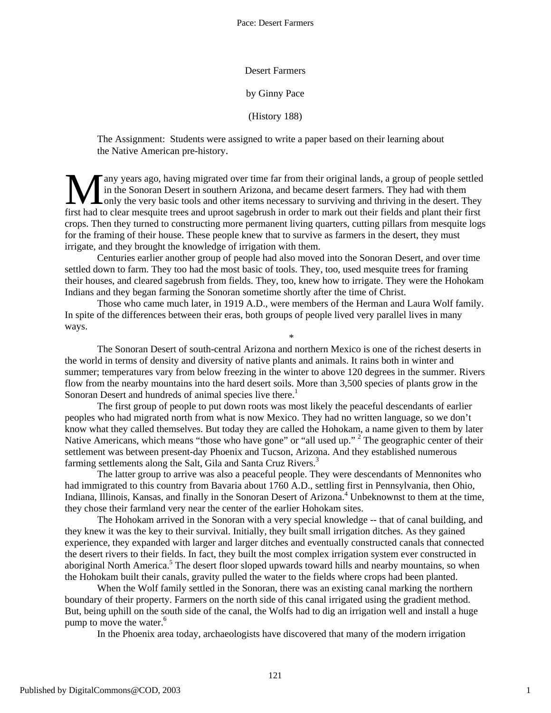#### Desert Farmers

#### by Ginny Pace

### (History 188)

The Assignment: Students were assigned to write a paper based on their learning about the Native American pre-history.

any years ago, having migrated over time far from their original lands, a group of people settled in the Sonoran Desert in southern Arizona, and became desert farmers. They had with them **L** only the very basic tools and other items necessary to surviving and thriving in the desert. They **follow** Tany years ago, having migrated over time far from their original lands, a group of people settled in the Sonoran Desert in southern Arizona, and became desert farmers. They had with them first only the very basic crops. Then they turned to constructing more permanent living quarters, cutting pillars from mesquite logs for the framing of their house. These people knew that to survive as farmers in the desert, they must irrigate, and they brought the knowledge of irrigation with them.

Centuries earlier another group of people had also moved into the Sonoran Desert, and over time settled down to farm. They too had the most basic of tools. They, too, used mesquite trees for framing their houses, and cleared sagebrush from fields. They, too, knew how to irrigate. They were the Hohokam Indians and they began farming the Sonoran sometime shortly after the time of Christ.

Those who came much later, in 1919 A.D., were members of the Herman and Laura Wolf family. In spite of the differences between their eras, both groups of people lived very parallel lives in many ways.

\*

The Sonoran Desert of south-central Arizona and northern Mexico is one of the richest deserts in the world in terms of density and diversity of native plants and animals. It rains both in winter and summer; temperatures vary from below freezing in the winter to above 120 degrees in the summer. Rivers flow from the nearby mountains into the hard desert soils. More than 3,500 species of plants grow in the Sonoran Desert and hundreds of animal species live there.<sup>1</sup>

The first group of people to put down roots was most likely the peaceful descendants of earlier peoples who had migrated north from what is now Mexico. They had no written language, so we don't know what they called themselves. But today they are called the Hohokam, a name given to them by later Native Americans, which means "those who have gone" or "all used up."<sup>2</sup> The geographic center of their settlement was between present-day Phoenix and Tucson, Arizona. And they established numerous farming settlements along the Salt, Gila and Santa Cruz Rivers.<sup>3</sup>

The latter group to arrive was also a peaceful people. They were descendants of Mennonites who had immigrated to this country from Bavaria about 1760 A.D., settling first in Pennsylvania, then Ohio, Indiana, Illinois, Kansas, and finally in the Sonoran Desert of Arizona.<sup>4</sup> Unbeknownst to them at the time, they chose their farmland very near the center of the earlier Hohokam sites.

The Hohokam arrived in the Sonoran with a very special knowledge -- that of canal building, and they knew it was the key to their survival. Initially, they built small irrigation ditches. As they gained experience, they expanded with larger and larger ditches and eventually constructed canals that connected the desert rivers to their fields. In fact, they built the most complex irrigation system ever constructed in aboriginal North America.<sup>5</sup> The desert floor sloped upwards toward hills and nearby mountains, so when the Hohokam built their canals, gravity pulled the water to the fields where crops had been planted.

When the Wolf family settled in the Sonoran, there was an existing canal marking the northern boundary of their property. Farmers on the north side of this canal irrigated using the gradient method. But, being uphill on the south side of the canal, the Wolfs had to dig an irrigation well and install a huge pump to move the water.<sup>6</sup>

In the Phoenix area today, archaeologists have discovered that many of the modern irrigation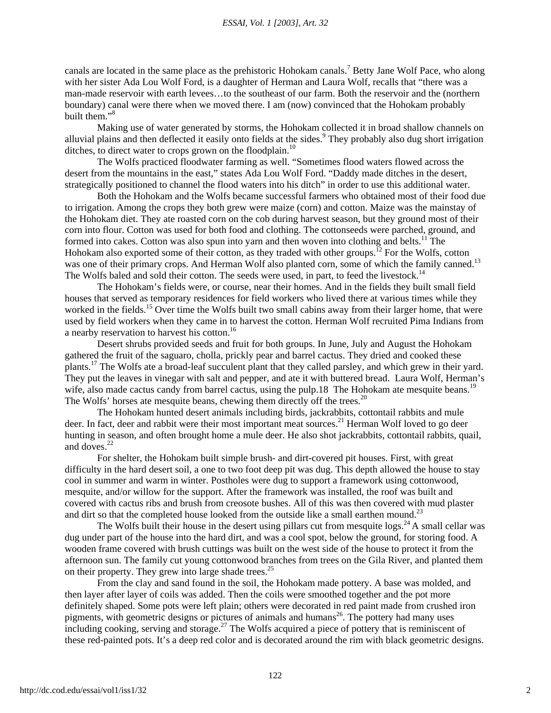#### *ESSAI, Vol. 1 [2003], Art. 32*

canals are located in the same place as the prehistoric Hohokam canals.<sup>7</sup> Betty Jane Wolf Pace, who along with her sister Ada Lou Wolf Ford, is a daughter of Herman and Laura Wolf, recalls that "there was a man-made reservoir with earth levees…to the southeast of our farm. Both the reservoir and the (northern boundary) canal were there when we moved there. I am (now) convinced that the Hohokam probably built them."8

Making use of water generated by storms, the Hohokam collected it in broad shallow channels on alluvial plains and then deflected it easily onto fields at the sides.<sup>9</sup> They probably also dug short irrigation ditches, to direct water to crops grown on the floodplain.<sup>10</sup>

The Wolfs practiced floodwater farming as well. "Sometimes flood waters flowed across the desert from the mountains in the east," states Ada Lou Wolf Ford. "Daddy made ditches in the desert, strategically positioned to channel the flood waters into his ditch" in order to use this additional water.

Both the Hohokam and the Wolfs became successful farmers who obtained most of their food due to irrigation. Among the crops they both grew were maize (corn) and cotton. Maize was the mainstay of the Hohokam diet. They ate roasted corn on the cob during harvest season, but they ground most of their corn into flour. Cotton was used for both food and clothing. The cottonseeds were parched, ground, and formed into cakes. Cotton was also spun into yarn and then woven into clothing and belts.<sup>11</sup> The Hohokam also exported some of their cotton, as they traded with other groups.<sup>12</sup> For the Wolfs, cotton was one of their primary crops. And Herman Wolf also planted corn, some of which the family canned.<sup>13</sup> The Wolfs baled and sold their cotton. The seeds were used, in part, to feed the livestock.<sup>14</sup>

The Hohokam's fields were, or course, near their homes. And in the fields they built small field houses that served as temporary residences for field workers who lived there at various times while they worked in the fields.<sup>15</sup> Over time the Wolfs built two small cabins away from their larger home, that were used by field workers when they came in to harvest the cotton. Herman Wolf recruited Pima Indians from a nearby reservation to harvest his cotton.16

Desert shrubs provided seeds and fruit for both groups. In June, July and August the Hohokam gathered the fruit of the saguaro, cholla, prickly pear and barrel cactus. They dried and cooked these plants.17 The Wolfs ate a broad-leaf succulent plant that they called parsley, and which grew in their yard. They put the leaves in vinegar with salt and pepper, and ate it with buttered bread. Laura Wolf, Herman's wife, also made cactus candy from barrel cactus, using the pulp.18 The Hohokam ate mesquite beans.<sup>19</sup> The Wolfs' horses ate mesquite beans, chewing them directly off the trees.<sup>20</sup>

The Hohokam hunted desert animals including birds, jackrabbits, cottontail rabbits and mule deer. In fact, deer and rabbit were their most important meat sources.<sup>21</sup> Herman Wolf loved to go deer hunting in season, and often brought home a mule deer. He also shot jackrabbits, cottontail rabbits, quail, and doves.<sup>22</sup>

For shelter, the Hohokam built simple brush- and dirt-covered pit houses. First, with great difficulty in the hard desert soil, a one to two foot deep pit was dug. This depth allowed the house to stay cool in summer and warm in winter. Postholes were dug to support a framework using cottonwood, mesquite, and/or willow for the support. After the framework was installed, the roof was built and covered with cactus ribs and brush from creosote bushes. All of this was then covered with mud plaster and dirt so that the completed house looked from the outside like a small earthen mound.<sup>23</sup>

The Wolfs built their house in the desert using pillars cut from mesquite logs.<sup>24</sup> A small cellar was dug under part of the house into the hard dirt, and was a cool spot, below the ground, for storing food. A wooden frame covered with brush cuttings was built on the west side of the house to protect it from the afternoon sun. The family cut young cottonwood branches from trees on the Gila River, and planted them on their property. They grew into large shade trees. $25$ 

From the clay and sand found in the soil, the Hohokam made pottery. A base was molded, and then layer after layer of coils was added. Then the coils were smoothed together and the pot more definitely shaped. Some pots were left plain; others were decorated in red paint made from crushed iron pigments, with geometric designs or pictures of animals and humans 26. The pottery had many uses including cooking, serving and storage.<sup>27</sup> The Wolfs acquired a piece of pottery that is reminiscent of these red-painted pots. It's a deep red color and is decorated around the rim with black geometric designs.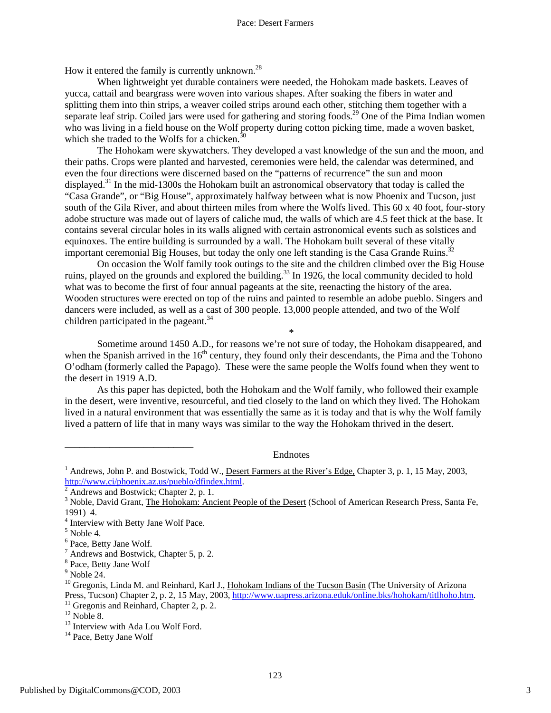How it entered the family is currently unknown.<sup>28</sup>

When lightweight yet durable containers were needed, the Hohokam made baskets. Leaves of yucca, cattail and beargrass were woven into various shapes. After soaking the fibers in water and splitting them into thin strips, a weaver coiled strips around each other, stitching them together with a separate leaf strip. Coiled jars were used for gathering and storing foods.<sup>29</sup> One of the Pima Indian women who was living in a field house on the Wolf property during cotton picking time, made a woven basket, which she traded to the Wolfs for a chicken. $3$ 

The Hohokam were skywatchers. They developed a vast knowledge of the sun and the moon, and their paths. Crops were planted and harvested, ceremonies were held, the calendar was determined, and even the four directions were discerned based on the "patterns of recurrence" the sun and moon displayed.<sup>31</sup> In the mid-1300s the Hohokam built an astronomical observatory that today is called the "Casa Grande", or "Big House", approximately halfway between what is now Phoenix and Tucson, just south of the Gila River, and about thirteen miles from where the Wolfs lived. This 60 x 40 foot, four-story adobe structure was made out of layers of caliche mud, the walls of which are 4.5 feet thick at the base. It contains several circular holes in its walls aligned with certain astronomical events such as solstices and equinoxes. The entire building is surrounded by a wall. The Hohokam built several of these vitally important ceremonial Big Houses, but today the only one left standing is the Casa Grande Ruins.<sup>32</sup>

On occasion the Wolf family took outings to the site and the children climbed over the Big House ruins, played on the grounds and explored the building.<sup>33</sup> In 1926, the local community decided to hold what was to become the first of four annual pageants at the site, reenacting the history of the area. Wooden structures were erected on top of the ruins and painted to resemble an adobe pueblo. Singers and dancers were included, as well as a cast of 300 people. 13,000 people attended, and two of the Wolf children participated in the pageant.<sup>34</sup>

Sometime around 1450 A.D., for reasons we're not sure of today, the Hohokam disappeared, and when the Spanish arrived in the  $16<sup>th</sup>$  century, they found only their descendants, the Pima and the Tohono O'odham (formerly called the Papago). These were the same people the Wolfs found when they went to the desert in 1919 A.D.

\*

As this paper has depicted, both the Hohokam and the Wolf family, who followed their example in the desert, were inventive, resourceful, and tied closely to the land on which they lived. The Hohokam lived in a natural environment that was essentially the same as it is today and that is why the Wolf family lived a pattern of life that in many ways was similar to the way the Hohokam thrived in the desert.

Endnotes

\_\_\_\_\_\_\_\_\_\_\_\_\_\_\_\_\_\_\_\_\_\_\_\_\_\_

<sup>&</sup>lt;sup>1</sup> Andrews, John P. and Bostwick, Todd W., Desert Farmers at the River's Edge, Chapter 3, p. 1, 15 May, 2003, http://www.ci/phoenix.az.us/pueblo/dfindex.html. 2

Andrews and Bostwick; Chapter 2, p. 1.

<sup>&</sup>lt;sup>3</sup> Noble, David Grant, The Hohokam: Ancient People of the Desert (School of American Research Press, Santa Fe, 1991) 4.

 $4$  Interview with Betty Jane Wolf Pace.

 $<sup>5</sup>$  Noble 4.</sup>

 $<sup>6</sup>$  Pace, Betty Jane Wolf.</sup>

Andrews and Bostwick, Chapter 5, p. 2. <sup>8</sup>

 $\frac{8}{9}$  Pace, Betty Jane Wolf  $\frac{9}{9}$  Noble 24.

<sup>&</sup>lt;sup>10</sup> Gregonis, Linda M. and Reinhard, Karl J., Hohokam Indians of the Tucson Basin (The University of Arizona Press, Tucson) Chapter 2, p. 2, 15 May, 2003, <u>http://www.uapress.arizona.eduk/online.bks/hohokam/titlhoho.htm</u>.<br><sup>11</sup> Gregonis and Reinhard, Chapter 2, p. 2.<br><sup>12</sup> Noble 8.<br><sup>13</sup> Interview with Ada Lou Wolf Ford.<br><sup>14</sup> Pace,